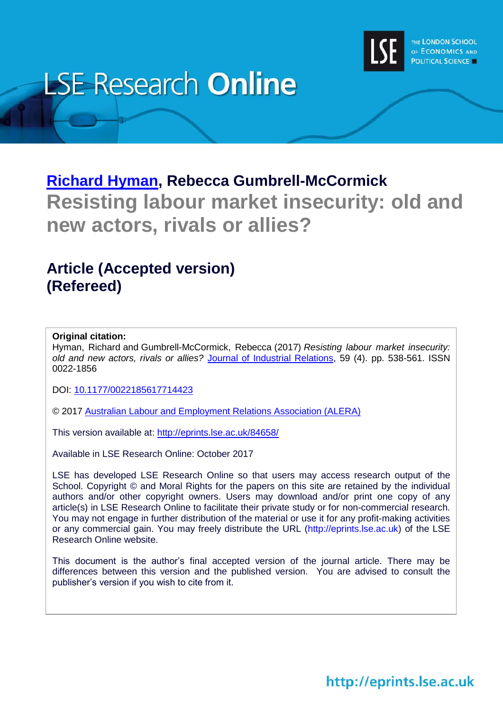

# **LSE Research Online**

## **[Richard Hyman,](http://www.lse.ac.uk/researchAndExpertise/Experts/profile.aspx?KeyValue=r.hyman@lse.ac.uk) Rebecca Gumbrell-McCormick Resisting labour market insecurity: old and new actors, rivals or allies?**

## **Article (Accepted version) (Refereed)**

#### **Original citation:**

Hyman, Richard and Gumbrell-McCormick, Rebecca (2017) *Resisting labour market insecurity: old and new actors, rivals or allies?* [Journal of Industrial Relations,](http://journals.sagepub.com/home/jir) 59 (4). pp. 538-561. ISSN 0022-1856

DOI: [10.1177/0022185617714423](http://doi.org/10.1177/0022185617714423)

© 2017 [Australian Labour and Employment Relations Association \(ALERA\)](http://www.alera.asn.au/)

This version available at:<http://eprints.lse.ac.uk/84658/>

Available in LSE Research Online: October 2017

LSE has developed LSE Research Online so that users may access research output of the School. Copyright © and Moral Rights for the papers on this site are retained by the individual authors and/or other copyright owners. Users may download and/or print one copy of any article(s) in LSE Research Online to facilitate their private study or for non-commercial research. You may not engage in further distribution of the material or use it for any profit-making activities or any commercial gain. You may freely distribute the URL (http://eprints.lse.ac.uk) of the LSE Research Online website.

This document is the author's final accepted version of the journal article. There may be differences between this version and the published version. You are advised to consult the publisher's version if you wish to cite from it.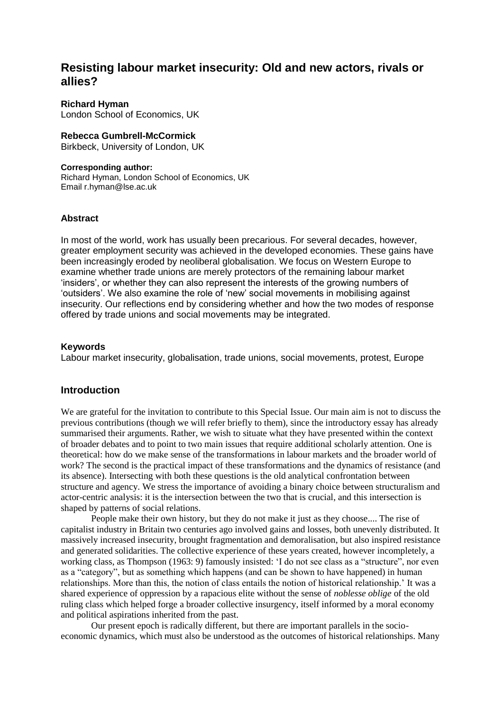#### **Resisting labour market insecurity: Old and new actors, rivals or allies?**

**Richard Hyman** London School of Economics, UK

**Rebecca Gumbrell-McCormick** Birkbeck, University of London, UK

#### **Corresponding author:**

Richard Hyman, London School of Economics, UK Email r.hyman@lse.ac.uk

#### **Abstract**

In most of the world, work has usually been precarious. For several decades, however, greater employment security was achieved in the developed economies. These gains have been increasingly eroded by neoliberal globalisation. We focus on Western Europe to examine whether trade unions are merely protectors of the remaining labour market 'insiders', or whether they can also represent the interests of the growing numbers of 'outsiders'. We also examine the role of 'new' social movements in mobilising against insecurity. Our reflections end by considering whether and how the two modes of response offered by trade unions and social movements may be integrated.

#### **Keywords**

Labour market insecurity, globalisation, trade unions, social movements, protest, Europe

#### **Introduction**

We are grateful for the invitation to contribute to this Special Issue. Our main aim is not to discuss the previous contributions (though we will refer briefly to them), since the introductory essay has already summarised their arguments. Rather, we wish to situate what they have presented within the context of broader debates and to point to two main issues that require additional scholarly attention. One is theoretical: how do we make sense of the transformations in labour markets and the broader world of work? The second is the practical impact of these transformations and the dynamics of resistance (and its absence). Intersecting with both these questions is the old analytical confrontation between structure and agency. We stress the importance of avoiding a binary choice between structuralism and actor-centric analysis: it is the intersection between the two that is crucial, and this intersection is shaped by patterns of social relations.

People make their own history, but they do not make it just as they choose.... The rise of capitalist industry in Britain two centuries ago involved gains and losses, both unevenly distributed. It massively increased insecurity, brought fragmentation and demoralisation, but also inspired resistance and generated solidarities. The collective experience of these years created, however incompletely, a working class, as Thompson (1963: 9) famously insisted: 'I do not see class as a "structure", nor even as a "category", but as something which happens (and can be shown to have happened) in human relationships. More than this, the notion of class entails the notion of historical relationship.' It was a shared experience of oppression by a rapacious elite without the sense of *noblesse oblige* of the old ruling class which helped forge a broader collective insurgency, itself informed by a moral economy and political aspirations inherited from the past.

Our present epoch is radically different, but there are important parallels in the socioeconomic dynamics, which must also be understood as the outcomes of historical relationships. Many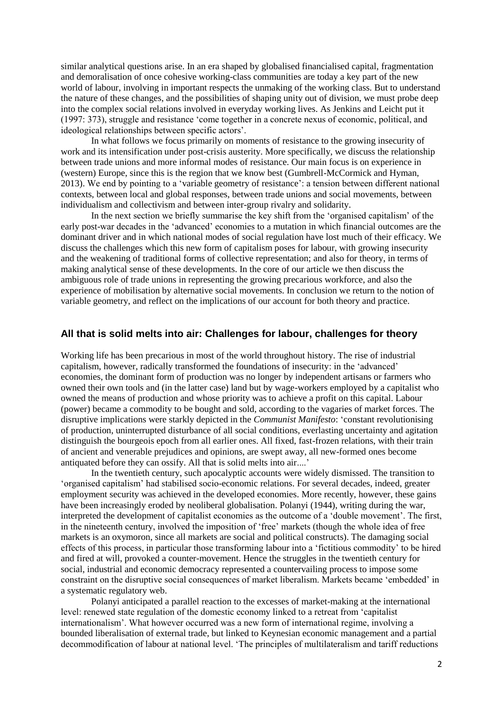similar analytical questions arise. In an era shaped by globalised financialised capital, fragmentation and demoralisation of once cohesive working-class communities are today a key part of the new world of labour, involving in important respects the unmaking of the working class. But to understand the nature of these changes, and the possibilities of shaping unity out of division, we must probe deep into the complex social relations involved in everyday working lives. As Jenkins and Leicht put it (1997: 373), struggle and resistance 'come together in a concrete nexus of economic, political, and ideological relationships between specific actors'.

In what follows we focus primarily on moments of resistance to the growing insecurity of work and its intensification under post-crisis austerity. More specifically, we discuss the relationship between trade unions and more informal modes of resistance. Our main focus is on experience in (western) Europe, since this is the region that we know best (Gumbrell-McCormick and Hyman, 2013). We end by pointing to a 'variable geometry of resistance': a tension between different national contexts, between local and global responses, between trade unions and social movements, between individualism and collectivism and between inter-group rivalry and solidarity.

In the next section we briefly summarise the key shift from the 'organised capitalism' of the early post-war decades in the 'advanced' economies to a mutation in which financial outcomes are the dominant driver and in which national modes of social regulation have lost much of their efficacy. We discuss the challenges which this new form of capitalism poses for labour, with growing insecurity and the weakening of traditional forms of collective representation; and also for theory, in terms of making analytical sense of these developments. In the core of our article we then discuss the ambiguous role of trade unions in representing the growing precarious workforce, and also the experience of mobilisation by alternative social movements. In conclusion we return to the notion of variable geometry, and reflect on the implications of our account for both theory and practice.

#### **All that is solid melts into air: Challenges for labour, challenges for theory**

Working life has been precarious in most of the world throughout history. The rise of industrial capitalism, however, radically transformed the foundations of insecurity: in the 'advanced' economies, the dominant form of production was no longer by independent artisans or farmers who owned their own tools and (in the latter case) land but by wage-workers employed by a capitalist who owned the means of production and whose priority was to achieve a profit on this capital. Labour (power) became a commodity to be bought and sold, according to the vagaries of market forces. The disruptive implications were starkly depicted in the *Communist Manifesto*: 'constant revolutionising of production, uninterrupted disturbance of all social conditions, everlasting uncertainty and agitation distinguish the bourgeois epoch from all earlier ones. All fixed, fast-frozen relations, with their train of ancient and venerable prejudices and opinions, are swept away, all new-formed ones become antiquated before they can ossify. All that is solid melts into air....'

In the twentieth century, such apocalyptic accounts were widely dismissed. The transition to 'organised capitalism' had stabilised socio-economic relations. For several decades, indeed, greater employment security was achieved in the developed economies. More recently, however, these gains have been increasingly eroded by neoliberal globalisation. Polanyi (1944), writing during the war, interpreted the development of capitalist economies as the outcome of a 'double movement'. The first, in the nineteenth century, involved the imposition of 'free' markets (though the whole idea of free markets is an oxymoron, since all markets are social and political constructs). The damaging social effects of this process, in particular those transforming labour into a 'fictitious commodity' to be hired and fired at will, provoked a counter-movement. Hence the struggles in the twentieth century for social, industrial and economic democracy represented a countervailing process to impose some constraint on the disruptive social consequences of market liberalism. Markets became 'embedded' in a systematic regulatory web.

Polanyi anticipated a parallel reaction to the excesses of market-making at the international level: renewed state regulation of the domestic economy linked to a retreat from 'capitalist internationalism'. What however occurred was a new form of international regime, involving a bounded liberalisation of external trade, but linked to Keynesian economic management and a partial decommodification of labour at national level. 'The principles of multilateralism and tariff reductions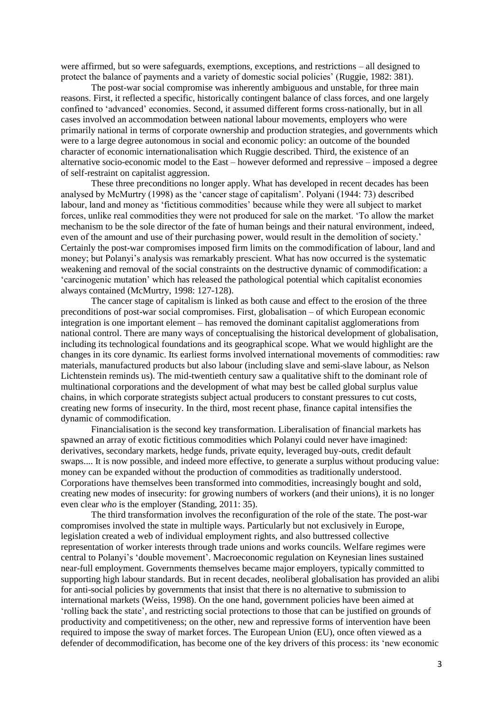were affirmed, but so were safeguards, exemptions, exceptions, and restrictions – all designed to protect the balance of payments and a variety of domestic social policies' (Ruggie, 1982: 381).

The post-war social compromise was inherently ambiguous and unstable, for three main reasons. First, it reflected a specific, historically contingent balance of class forces, and one largely confined to 'advanced' economies. Second, it assumed different forms cross-nationally, but in all cases involved an accommodation between national labour movements, employers who were primarily national in terms of corporate ownership and production strategies, and governments which were to a large degree autonomous in social and economic policy: an outcome of the bounded character of economic internationalisation which Ruggie described. Third, the existence of an alternative socio-economic model to the East – however deformed and repressive – imposed a degree of self-restraint on capitalist aggression.

These three preconditions no longer apply. What has developed in recent decades has been analysed by McMurtry (1998) as the 'cancer stage of capitalism'. Polyani (1944: 73) described labour, land and money as 'fictitious commodities' because while they were all subject to market forces, unlike real commodities they were not produced for sale on the market. 'To allow the market mechanism to be the sole director of the fate of human beings and their natural environment, indeed, even of the amount and use of their purchasing power, would result in the demolition of society.' Certainly the post-war compromises imposed firm limits on the commodification of labour, land and money; but Polanyi's analysis was remarkably prescient. What has now occurred is the systematic weakening and removal of the social constraints on the destructive dynamic of commodification: a 'carcinogenic mutation' which has released the pathological potential which capitalist economies always contained (McMurtry, 1998: 127-128).

The cancer stage of capitalism is linked as both cause and effect to the erosion of the three preconditions of post-war social compromises. First, globalisation – of which European economic integration is one important element – has removed the dominant capitalist agglomerations from national control. There are many ways of conceptualising the historical development of globalisation, including its technological foundations and its geographical scope. What we would highlight are the changes in its core dynamic. Its earliest forms involved international movements of commodities: raw materials, manufactured products but also labour (including slave and semi-slave labour, as Nelson Lichtenstein reminds us). The mid-twentieth century saw a qualitative shift to the dominant role of multinational corporations and the development of what may best be called global surplus value chains, in which corporate strategists subject actual producers to constant pressures to cut costs, creating new forms of insecurity. In the third, most recent phase, finance capital intensifies the dynamic of commodification.

Financialisation is the second key transformation. Liberalisation of financial markets has spawned an array of exotic fictitious commodities which Polanyi could never have imagined: derivatives, secondary markets, hedge funds, private equity, leveraged buy-outs, credit default swaps.... It is now possible, and indeed more effective, to generate a surplus without producing value: money can be expanded without the production of commodities as traditionally understood. Corporations have themselves been transformed into commodities, increasingly bought and sold, creating new modes of insecurity: for growing numbers of workers (and their unions), it is no longer even clear *who* is the employer (Standing, 2011: 35).

The third transformation involves the reconfiguration of the role of the state. The post-war compromises involved the state in multiple ways. Particularly but not exclusively in Europe, legislation created a web of individual employment rights, and also buttressed collective representation of worker interests through trade unions and works councils. Welfare regimes were central to Polanyi's 'double movement'. Macroeconomic regulation on Keynesian lines sustained near-full employment. Governments themselves became major employers, typically committed to supporting high labour standards. But in recent decades, neoliberal globalisation has provided an alibi for anti-social policies by governments that insist that there is no alternative to submission to international markets (Weiss, 1998). On the one hand, government policies have been aimed at 'rolling back the state', and restricting social protections to those that can be justified on grounds of productivity and competitiveness; on the other, new and repressive forms of intervention have been required to impose the sway of market forces. The European Union (EU), once often viewed as a defender of decommodification, has become one of the key drivers of this process: its 'new economic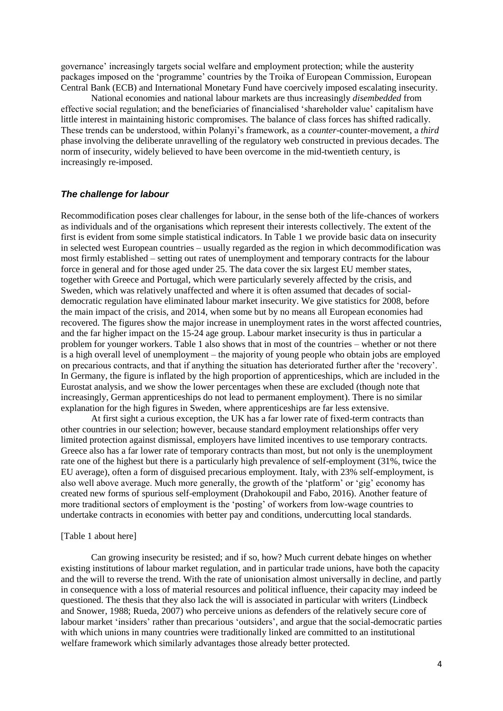governance' increasingly targets social welfare and employment protection; while the austerity packages imposed on the 'programme' countries by the Troika of European Commission, European Central Bank (ECB) and International Monetary Fund have coercively imposed escalating insecurity.

National economies and national labour markets are thus increasingly *disembedded* from effective social regulation; and the beneficiaries of financialised 'shareholder value' capitalism have little interest in maintaining historic compromises. The balance of class forces has shifted radically. These trends can be understood, within Polanyi's framework, as a *counter*-counter-movement, a *third*  phase involving the deliberate unravelling of the regulatory web constructed in previous decades. The norm of insecurity, widely believed to have been overcome in the mid-twentieth century, is increasingly re-imposed.

#### *The challenge for labour*

Recommodification poses clear challenges for labour, in the sense both of the life-chances of workers as individuals and of the organisations which represent their interests collectively. The extent of the first is evident from some simple statistical indicators. In Table 1 we provide basic data on insecurity in selected west European countries – usually regarded as the region in which decommodification was most firmly established – setting out rates of unemployment and temporary contracts for the labour force in general and for those aged under 25. The data cover the six largest EU member states, together with Greece and Portugal, which were particularly severely affected by the crisis, and Sweden, which was relatively unaffected and where it is often assumed that decades of socialdemocratic regulation have eliminated labour market insecurity. We give statistics for 2008, before the main impact of the crisis, and 2014, when some but by no means all European economies had recovered. The figures show the major increase in unemployment rates in the worst affected countries, and the far higher impact on the 15-24 age group. Labour market insecurity is thus in particular a problem for younger workers. Table 1 also shows that in most of the countries – whether or not there is a high overall level of unemployment – the majority of young people who obtain jobs are employed on precarious contracts, and that if anything the situation has deteriorated further after the 'recovery'. In Germany, the figure is inflated by the high proportion of apprenticeships, which are included in the Eurostat analysis, and we show the lower percentages when these are excluded (though note that increasingly, German apprenticeships do not lead to permanent employment). There is no similar explanation for the high figures in Sweden, where apprenticeships are far less extensive.

At first sight a curious exception, the UK has a far lower rate of fixed-term contracts than other countries in our selection; however, because standard employment relationships offer very limited protection against dismissal, employers have limited incentives to use temporary contracts. Greece also has a far lower rate of temporary contracts than most, but not only is the unemployment rate one of the highest but there is a particularly high prevalence of self-employment (31%, twice the EU average), often a form of disguised precarious employment. Italy, with 23% self-employment, is also well above average. Much more generally, the growth of the 'platform' or 'gig' economy has created new forms of spurious self-employment (Drahokoupil and Fabo, 2016). Another feature of more traditional sectors of employment is the 'posting' of workers from low-wage countries to undertake contracts in economies with better pay and conditions, undercutting local standards.

#### [Table 1 about here]

Can growing insecurity be resisted; and if so, how? Much current debate hinges on whether existing institutions of labour market regulation, and in particular trade unions, have both the capacity and the will to reverse the trend. With the rate of unionisation almost universally in decline, and partly in consequence with a loss of material resources and political influence, their capacity may indeed be questioned. The thesis that they also lack the will is associated in particular with writers (Lindbeck and Snower, 1988; Rueda, 2007) who perceive unions as defenders of the relatively secure core of labour market 'insiders' rather than precarious 'outsiders', and argue that the social-democratic parties with which unions in many countries were traditionally linked are committed to an institutional welfare framework which similarly advantages those already better protected.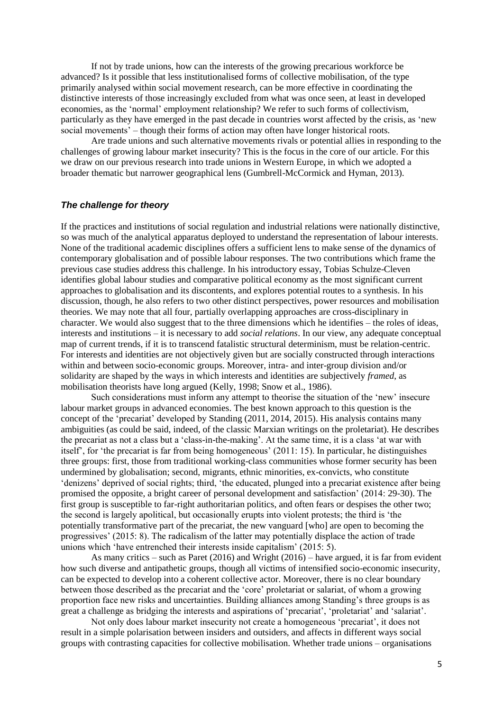If not by trade unions, how can the interests of the growing precarious workforce be advanced? Is it possible that less institutionalised forms of collective mobilisation, of the type primarily analysed within social movement research, can be more effective in coordinating the distinctive interests of those increasingly excluded from what was once seen, at least in developed economies, as the 'normal' employment relationship? We refer to such forms of collectivism, particularly as they have emerged in the past decade in countries worst affected by the crisis, as 'new social movements' – though their forms of action may often have longer historical roots.

Are trade unions and such alternative movements rivals or potential allies in responding to the challenges of growing labour market insecurity? This is the focus in the core of our article. For this we draw on our previous research into trade unions in Western Europe, in which we adopted a broader thematic but narrower geographical lens (Gumbrell-McCormick and Hyman, 2013).

#### *The challenge for theory*

If the practices and institutions of social regulation and industrial relations were nationally distinctive, so was much of the analytical apparatus deployed to understand the representation of labour interests. None of the traditional academic disciplines offers a sufficient lens to make sense of the dynamics of contemporary globalisation and of possible labour responses. The two contributions which frame the previous case studies address this challenge. In his introductory essay, Tobias Schulze-Cleven identifies global labour studies and comparative political economy as the most significant current approaches to globalisation and its discontents, and explores potential routes to a synthesis. In his discussion, though, he also refers to two other distinct perspectives, power resources and mobilisation theories. We may note that all four, partially overlapping approaches are cross-disciplinary in character. We would also suggest that to the three dimensions which he identifies – the roles of ideas, interests and institutions – it is necessary to add *social relations*. In our view, any adequate conceptual map of current trends, if it is to transcend fatalistic structural determinism, must be relation-centric. For interests and identities are not objectively given but are socially constructed through interactions within and between socio-economic groups. Moreover, intra- and inter-group division and/or solidarity are shaped by the ways in which interests and identities are subjectively *framed*, as mobilisation theorists have long argued (Kelly, 1998; Snow et al., 1986).

Such considerations must inform any attempt to theorise the situation of the 'new' insecure labour market groups in advanced economies. The best known approach to this question is the concept of the 'precariat' developed by Standing (2011, 2014, 2015). His analysis contains many ambiguities (as could be said, indeed, of the classic Marxian writings on the proletariat). He describes the precariat as not a class but a 'class-in-the-making'. At the same time, it is a class 'at war with itself', for 'the precariat is far from being homogeneous' (2011: 15). In particular, he distinguishes three groups: first, those from traditional working-class communities whose former security has been undermined by globalisation; second, migrants, ethnic minorities, ex-convicts, who constitute 'denizens' deprived of social rights; third, 'the educated, plunged into a precariat existence after being promised the opposite, a bright career of personal development and satisfaction' (2014: 29-30). The first group is susceptible to far-right authoritarian politics, and often fears or despises the other two; the second is largely apolitical, but occasionally erupts into violent protests; the third is 'the potentially transformative part of the precariat, the new vanguard [who] are open to becoming the progressives' (2015: 8). The radicalism of the latter may potentially displace the action of trade unions which 'have entrenched their interests inside capitalism' (2015: 5).

As many critics – such as Paret (2016) and Wright (2016) – have argued, it is far from evident how such diverse and antipathetic groups, though all victims of intensified socio-economic insecurity, can be expected to develop into a coherent collective actor. Moreover, there is no clear boundary between those described as the precariat and the 'core' proletariat or salariat, of whom a growing proportion face new risks and uncertainties. Building alliances among Standing's three groups is as great a challenge as bridging the interests and aspirations of 'precariat', 'proletariat' and 'salariat'.

Not only does labour market insecurity not create a homogeneous 'precariat', it does not result in a simple polarisation between insiders and outsiders, and affects in different ways social groups with contrasting capacities for collective mobilisation. Whether trade unions – organisations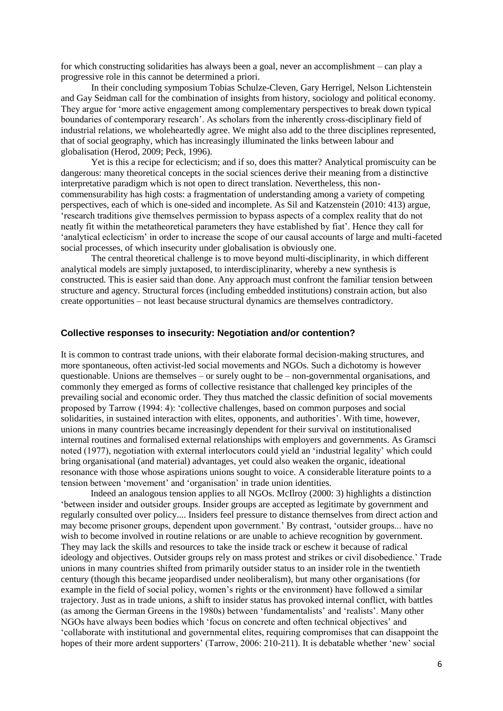for which constructing solidarities has always been a goal, never an accomplishment – can play a progressive role in this cannot be determined a priori.

In their concluding symposium Tobias Schulze-Cleven, Gary Herrigel, Nelson Lichtenstein and Gay Seidman call for the combination of insights from history, sociology and political economy. They argue for 'more active engagement among complementary perspectives to break down typical boundaries of contemporary research'. As scholars from the inherently cross-disciplinary field of industrial relations, we wholeheartedly agree. We might also add to the three disciplines represented, that of social geography, which has increasingly illuminated the links between labour and globalisation (Herod, 2009; Peck, 1996).

Yet is this a recipe for eclecticism; and if so, does this matter? Analytical promiscuity can be dangerous: many theoretical concepts in the social sciences derive their meaning from a distinctive interpretative paradigm which is not open to direct translation. Nevertheless, this noncommensurability has high costs: a fragmentation of understanding among a variety of competing perspectives, each of which is one-sided and incomplete. As Sil and Katzenstein (2010: 413) argue, 'research traditions give themselves permission to bypass aspects of a complex reality that do not neatly fit within the metatheoretical parameters they have established by fiat'. Hence they call for 'analytical eclecticism' in order to increase the scope of our causal accounts of large and multi-faceted social processes, of which insecurity under globalisation is obviously one.

The central theoretical challenge is to move beyond multi-disciplinarity, in which different analytical models are simply juxtaposed, to interdisciplinarity, whereby a new synthesis is constructed. This is easier said than done. Any approach must confront the familiar tension between structure and agency. Structural forces (including embedded institutions) constrain action, but also create opportunities – not least because structural dynamics are themselves contradictory.

#### **Collective responses to insecurity: Negotiation and/or contention?**

It is common to contrast trade unions, with their elaborate formal decision-making structures, and more spontaneous, often activist-led social movements and NGOs. Such a dichotomy is however questionable. Unions are themselves – or surely ought to be – non-governmental organisations, and commonly they emerged as forms of collective resistance that challenged key principles of the prevailing social and economic order. They thus matched the classic definition of social movements proposed by Tarrow (1994: 4): 'collective challenges, based on common purposes and social solidarities, in sustained interaction with elites, opponents, and authorities'. With time, however, unions in many countries became increasingly dependent for their survival on institutionalised internal routines and formalised external relationships with employers and governments. As Gramsci noted (1977), negotiation with external interlocutors could yield an 'industrial legality' which could bring organisational (and material) advantages, yet could also weaken the organic, ideational resonance with those whose aspirations unions sought to voice. A considerable literature points to a tension between 'movement' and 'organisation' in trade union identities.

Indeed an analogous tension applies to all NGOs. McIlroy (2000: 3) highlights a distinction 'between insider and outsider groups. Insider groups are accepted as legitimate by government and regularly consulted over policy.... Insiders feel pressure to distance themselves from direct action and may become prisoner groups, dependent upon government.' By contrast, 'outsider groups... have no wish to become involved in routine relations or are unable to achieve recognition by government. They may lack the skills and resources to take the inside track or eschew it because of radical ideology and objectives. Outsider groups rely on mass protest and strikes or civil disobedience.' Trade unions in many countries shifted from primarily outsider status to an insider role in the twentieth century (though this became jeopardised under neoliberalism), but many other organisations (for example in the field of social policy, women's rights or the environment) have followed a similar trajectory. Just as in trade unions, a shift to insider status has provoked internal conflict, with battles (as among the German Greens in the 1980s) between 'fundamentalists' and 'realists'. Many other NGOs have always been bodies which 'focus on concrete and often technical objectives' and 'collaborate with institutional and governmental elites, requiring compromises that can disappoint the hopes of their more ardent supporters' (Tarrow, 2006: 210-211). It is debatable whether 'new' social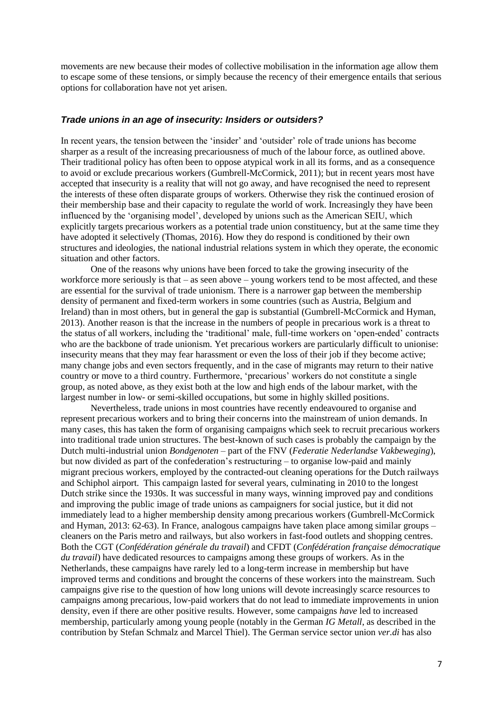movements are new because their modes of collective mobilisation in the information age allow them to escape some of these tensions, or simply because the recency of their emergence entails that serious options for collaboration have not yet arisen.

#### *Trade unions in an age of insecurity: Insiders or outsiders?*

In recent years, the tension between the 'insider' and 'outsider' role of trade unions has become sharper as a result of the increasing precariousness of much of the labour force, as outlined above. Their traditional policy has often been to oppose atypical work in all its forms, and as a consequence to avoid or exclude precarious workers (Gumbrell-McCormick, 2011); but in recent years most have accepted that insecurity is a reality that will not go away, and have recognised the need to represent the interests of these often disparate groups of workers. Otherwise they risk the continued erosion of their membership base and their capacity to regulate the world of work. Increasingly they have been influenced by the 'organising model', developed by unions such as the American SEIU, which explicitly targets precarious workers as a potential trade union constituency, but at the same time they have adopted it selectively (Thomas, 2016). How they do respond is conditioned by their own structures and ideologies, the national industrial relations system in which they operate, the economic situation and other factors.

One of the reasons why unions have been forced to take the growing insecurity of the workforce more seriously is that – as seen above – young workers tend to be most affected, and these are essential for the survival of trade unionism. There is a narrower gap between the membership density of permanent and fixed-term workers in some countries (such as Austria, Belgium and Ireland) than in most others, but in general the gap is substantial (Gumbrell-McCormick and Hyman, 2013). Another reason is that the increase in the numbers of people in precarious work is a threat to the status of all workers, including the 'traditional' male, full-time workers on 'open-ended' contracts who are the backbone of trade unionism. Yet precarious workers are particularly difficult to unionise: insecurity means that they may fear harassment or even the loss of their job if they become active; many change jobs and even sectors frequently, and in the case of migrants may return to their native country or move to a third country. Furthermore, 'precarious' workers do not constitute a single group, as noted above, as they exist both at the low and high ends of the labour market, with the largest number in low- or semi-skilled occupations, but some in highly skilled positions.

Nevertheless, trade unions in most countries have recently endeavoured to organise and represent precarious workers and to bring their concerns into the mainstream of union demands. In many cases, this has taken the form of organising campaigns which seek to recruit precarious workers into traditional trade union structures. The best-known of such cases is probably the campaign by the Dutch multi-industrial union *Bondgenoten* – part of the FNV (*Federatie Nederlandse Vakbeweging*), but now divided as part of the confederation's restructuring – to organise low-paid and mainly migrant precious workers, employed by the contracted-out cleaning operations for the Dutch railways and Schiphol airport. This campaign lasted for several years, culminating in 2010 to the longest Dutch strike since the 1930s. It was successful in many ways, winning improved pay and conditions and improving the public image of trade unions as campaigners for social justice, but it did not immediately lead to a higher membership density among precarious workers (Gumbrell-McCormick and Hyman, 2013: 62-63). In France, analogous campaigns have taken place among similar groups – cleaners on the Paris metro and railways, but also workers in fast-food outlets and shopping centres. Both the CGT (*Confédération générale du travail*) and CFDT (*Confédération française démocratique du travail*) have dedicated resources to campaigns among these groups of workers. As in the Netherlands, these campaigns have rarely led to a long-term increase in membership but have improved terms and conditions and brought the concerns of these workers into the mainstream. Such campaigns give rise to the question of how long unions will devote increasingly scarce resources to campaigns among precarious, low-paid workers that do not lead to immediate improvements in union density, even if there are other positive results. However, some campaigns *have* led to increased membership, particularly among young people (notably in the German *IG Metall*, as described in the contribution by Stefan Schmalz and Marcel Thiel). The German service sector union *ver.di* has also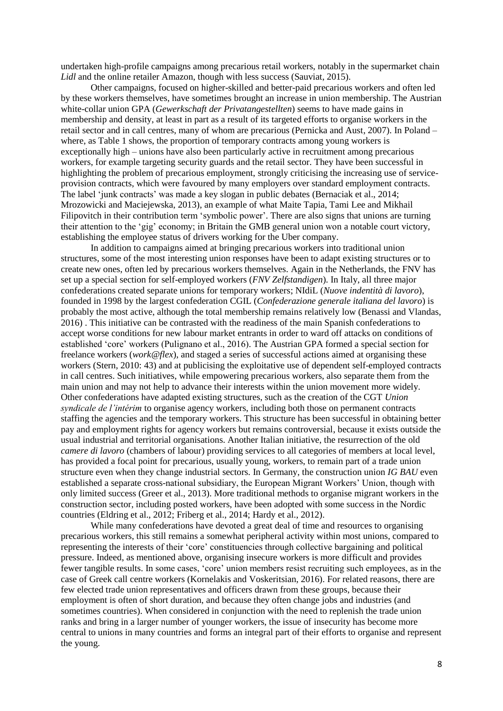undertaken high-profile campaigns among precarious retail workers, notably in the supermarket chain *Lidl* and the online retailer Amazon, though with less success (Sauviat, 2015).

Other campaigns, focused on higher-skilled and better-paid precarious workers and often led by these workers themselves, have sometimes brought an increase in union membership. The Austrian white-collar union GPA (*Gewerkschaft der Privatangestellten*) seems to have made gains in membership and density, at least in part as a result of its targeted efforts to organise workers in the retail sector and in call centres, many of whom are precarious (Pernicka and Aust, 2007). In Poland – where, as Table 1 shows, the proportion of temporary contracts among young workers is exceptionally high – unions have also been particularly active in recruitment among precarious workers, for example targeting security guards and the retail sector. They have been successful in highlighting the problem of precarious employment, strongly criticising the increasing use of serviceprovision contracts, which were favoured by many employers over standard employment contracts. The label 'junk contracts' was made a key slogan in public debates (Bernaciak et al., 2014; Mrozowicki and Maciejewska, 2013), an example of what Maite Tapia, Tami Lee and Mikhail Filipovitch in their contribution term 'symbolic power'. There are also signs that unions are turning their attention to the 'gig' economy; in Britain the GMB general union won a notable court victory, establishing the employee status of drivers working for the Uber company.

In addition to campaigns aimed at bringing precarious workers into traditional union structures, some of the most interesting union responses have been to adapt existing structures or to create new ones, often led by precarious workers themselves. Again in the Netherlands, the FNV has set up a special section for self-employed workers (*FNV Zelfstandigen*). In Italy, all three major confederations created separate unions for temporary workers; NIdiL (*Nuove indentità di lavoro*), founded in 1998 by the largest confederation CGIL (*Confederazione generale italiana del lavoro*) is probably the most active, although the total membership remains relatively low (Benassi and Vlandas, 2016) . This initiative can be contrasted with the readiness of the main Spanish confederations to accept worse conditions for new labour market entrants in order to ward off attacks on conditions of established 'core' workers (Pulignano et al., 2016). The Austrian GPA formed a special section for freelance workers (*work@flex*), and staged a series of successful actions aimed at organising these workers (Stern, 2010: 43) and at publicising the exploitative use of dependent self-employed contracts in call centres. Such initiatives, while empowering precarious workers, also separate them from the main union and may not help to advance their interests within the union movement more widely. Other confederations have adapted existing structures, such as the creation of the CGT *Union syndicale de l'intérim* to organise agency workers, including both those on permanent contracts staffing the agencies and the temporary workers. This structure has been successful in obtaining better pay and employment rights for agency workers but remains controversial, because it exists outside the usual industrial and territorial organisations. Another Italian initiative, the resurrection of the old *camere di lavoro* (chambers of labour) providing services to all categories of members at local level, has provided a focal point for precarious, usually young, workers, to remain part of a trade union structure even when they change industrial sectors. In Germany, the construction union *IG BAU* even established a separate cross-national subsidiary, the European Migrant Workers' Union, though with only limited success (Greer et al., 2013). More traditional methods to organise migrant workers in the construction sector, including posted workers, have been adopted with some success in the Nordic countries (Eldring et al., 2012; Friberg et al., 2014; Hardy et al., 2012).

While many confederations have devoted a great deal of time and resources to organising precarious workers, this still remains a somewhat peripheral activity within most unions, compared to representing the interests of their 'core' constituencies through collective bargaining and political pressure. Indeed, as mentioned above, organising insecure workers is more difficult and provides fewer tangible results. In some cases, 'core' union members resist recruiting such employees, as in the case of Greek call centre workers (Kornelakis and Voskeritsian, 2016). For related reasons, there are few elected trade union representatives and officers drawn from these groups, because their employment is often of short duration, and because they often change jobs and industries (and sometimes countries). When considered in conjunction with the need to replenish the trade union ranks and bring in a larger number of younger workers, the issue of insecurity has become more central to unions in many countries and forms an integral part of their efforts to organise and represent the young.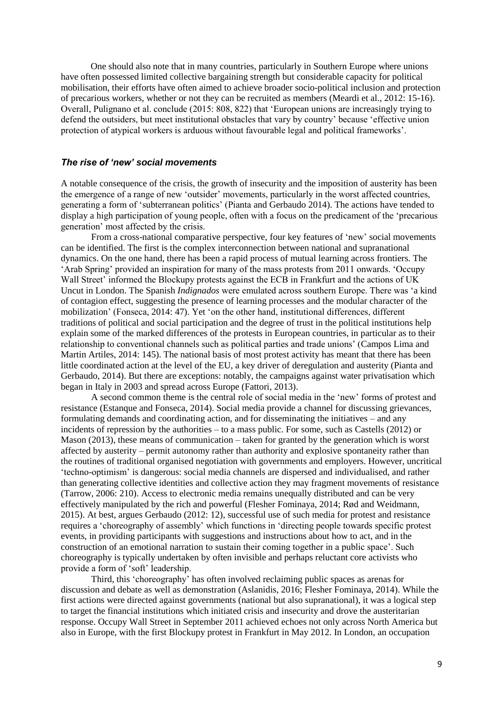One should also note that in many countries, particularly in Southern Europe where unions have often possessed limited collective bargaining strength but considerable capacity for political mobilisation, their efforts have often aimed to achieve broader socio-political inclusion and protection of precarious workers, whether or not they can be recruited as members (Meardi et al., 2012: 15-16). Overall, Pulignano et al. conclude (2015: 808, 822) that 'European unions are increasingly trying to defend the outsiders, but meet institutional obstacles that vary by country' because 'effective union protection of atypical workers is arduous without favourable legal and political frameworks'.

#### *The rise of 'new' social movements*

A notable consequence of the crisis, the growth of insecurity and the imposition of austerity has been the emergence of a range of new 'outsider' movements, particularly in the worst affected countries, generating a form of 'subterranean politics' (Pianta and Gerbaudo 2014). The actions have tended to display a high participation of young people, often with a focus on the predicament of the 'precarious generation' most affected by the crisis.

From a cross-national comparative perspective, four key features of 'new' social movements can be identified. The first is the complex interconnection between national and supranational dynamics. On the one hand, there has been a rapid process of mutual learning across frontiers. The 'Arab Spring' provided an inspiration for many of the mass protests from 2011 onwards. 'Occupy Wall Street' informed the Blockupy protests against the ECB in Frankfurt and the actions of UK Uncut in London. The Spanish *Indignados* were emulated across southern Europe. There was 'a kind of contagion effect, suggesting the presence of learning processes and the modular character of the mobilization' (Fonseca, 2014: 47). Yet 'on the other hand, institutional differences, different traditions of political and social participation and the degree of trust in the political institutions help explain some of the marked differences of the protests in European countries, in particular as to their relationship to conventional channels such as political parties and trade unions' (Campos Lima and Martin Artiles, 2014: 145). The national basis of most protest activity has meant that there has been little coordinated action at the level of the EU, a key driver of deregulation and austerity (Pianta and Gerbaudo, 2014). But there are exceptions: notably, the campaigns against water privatisation which began in Italy in 2003 and spread across Europe (Fattori, 2013).

A second common theme is the central role of social media in the 'new' forms of protest and resistance (Estanque and Fonseca, 2014). Social media provide a channel for discussing grievances, formulating demands and coordinating action, and for disseminating the initiatives – and any incidents of repression by the authorities – to a mass public. For some, such as Castells (2012) or Mason (2013), these means of communication – taken for granted by the generation which is worst affected by austerity – permit autonomy rather than authority and explosive spontaneity rather than the routines of traditional organised negotiation with governments and employers. However, uncritical 'techno-optimism' is dangerous: social media channels are dispersed and individualised, and rather than generating collective identities and collective action they may fragment movements of resistance (Tarrow, 2006: 210). Access to electronic media remains unequally distributed and can be very effectively manipulated by the rich and powerful (Flesher Fominaya, 2014; Rød and Weidmann, 2015). At best, argues Gerbaudo (2012: 12), successful use of such media for protest and resistance requires a 'choreography of assembly' which functions in 'directing people towards specific protest events, in providing participants with suggestions and instructions about how to act, and in the construction of an emotional narration to sustain their coming together in a public space'. Such choreography is typically undertaken by often invisible and perhaps reluctant core activists who provide a form of 'soft' leadership.

Third, this 'choreography' has often involved reclaiming public spaces as arenas for discussion and debate as well as demonstration (Aslanidis, 2016; Flesher Fominaya, 2014). While the first actions were directed against governments (national but also supranational), it was a logical step to target the financial institutions which initiated crisis and insecurity and drove the austeritarian response. Occupy Wall Street in September 2011 achieved echoes not only across North America but also in Europe, with the first Blockupy protest in Frankfurt in May 2012. In London, an occupation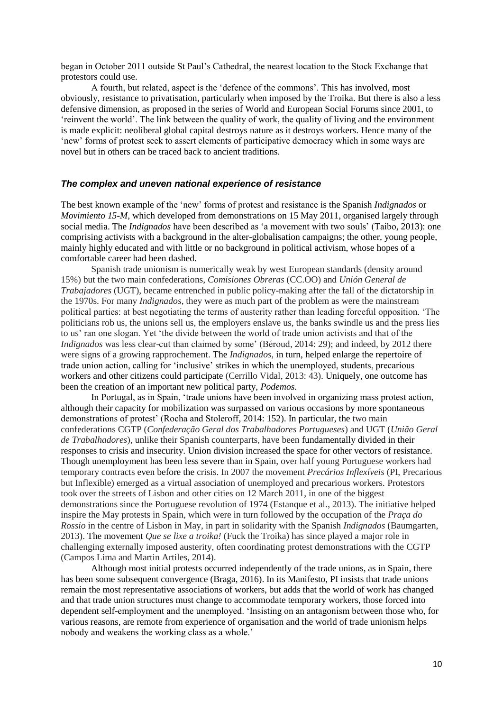began in October 2011 outside St Paul's Cathedral, the nearest location to the Stock Exchange that protestors could use.

A fourth, but related, aspect is the 'defence of the commons'. This has involved, most obviously, resistance to privatisation, particularly when imposed by the Troika. But there is also a less defensive dimension, as proposed in the series of World and European Social Forums since 2001, to 'reinvent the world'. The link between the quality of work, the quality of living and the environment is made explicit: neoliberal global capital destroys nature as it destroys workers. Hence many of the 'new' forms of protest seek to assert elements of participative democracy which in some ways are novel but in others can be traced back to ancient traditions.

#### *The complex and uneven national experience of resistance*

The best known example of the 'new' forms of protest and resistance is the Spanish *Indignados* or *Movimiento 15-M*, which developed from demonstrations on 15 May 2011, organised largely through social media. The *Indignados* have been described as 'a movement with two souls' (Taibo, 2013): one comprising activists with a background in the alter-globalisation campaigns; the other, young people, mainly highly educated and with little or no background in political activism, whose hopes of a comfortable career had been dashed.

Spanish trade unionism is numerically weak by west European standards (density around 15%) but the two main confederations, *[Comisiones Obreras](http://www.ccoo.es/)* (CC.OO) and *Unión General de Trabajadores* (UGT), became entrenched in public policy-making after the fall of the dictatorship in the 1970s. For many *Indignados*, they were as much part of the problem as were the mainstream political parties: at best negotiating the terms of austerity rather than leading forceful opposition. 'The politicians rob us, the unions sell us, the employers enslave us, the banks swindle us and the press lies to us' ran one slogan. Yet 'the divide between the world of trade union activists and that of the *Indignados* was less clear-cut than claimed by some' (Béroud, 2014: 29); and indeed, by 2012 there were signs of a growing rapprochement. The *Indignados,* in turn, helped enlarge the repertoire of trade union action, calling for 'inclusive' strikes in which the unemployed, students, precarious workers and other citizens could participate (Cerrillo Vidal, 2013: 43). Uniquely, one outcome has been the creation of an important new political party, *Podemos.*

In Portugal, as in Spain, 'trade unions have been involved in organizing mass protest action, although their capacity for mobilization was surpassed on various occasions by more spontaneous demonstrations of protest' (Rocha and Stoleroff, 2014: 152). In particular, the two main confederations CGTP (*Confederação Geral dos Trabalhadores Portugueses*) and UGT (*União Geral de Trabalhadores*), unlike their Spanish counterparts, have been fundamentally divided in their responses to crisis and insecurity. Union division increased the space for other vectors of resistance. Though unemployment has been less severe than in Spain, over half young Portuguese workers had temporary contracts even before the crisis. In 2007 the movement *Precários Inflexíveis* (PI, Precarious but Inflexible) emerged as a virtual association of unemployed and precarious workers. Protestors took over the streets of Lisbon and other cities on 12 March 2011, in one of the biggest demonstrations since the Portuguese revolution of 1974 (Estanque et al., 2013). The initiative helped inspire the May protests in Spain, which were in turn followed by the occupation of the *Praça do Rossio* in the centre of Lisbon in May, in part in solidarity with the Spanish *Indignados* (Baumgarten, 2013). The movement *Que se lixe a troika!* (Fuck the Troika) has since played a major role in challenging externally imposed austerity, often coordinating protest demonstrations with the CGTP (Campos Lima and Martin Artiles, 2014).

Although most initial protests occurred independently of the trade unions, as in Spain, there has been some subsequent convergence (Braga, 2016). In its Manifesto, PI insists that trade unions remain the most representative associations of workers, but adds that the world of work has changed and that trade union structures must change to accommodate temporary workers, those forced into dependent self-employment and the unemployed. 'Insisting on an antagonism between those who, for various reasons, are remote from experience of organisation and the world of trade unionism helps nobody and weakens the working class as a whole.'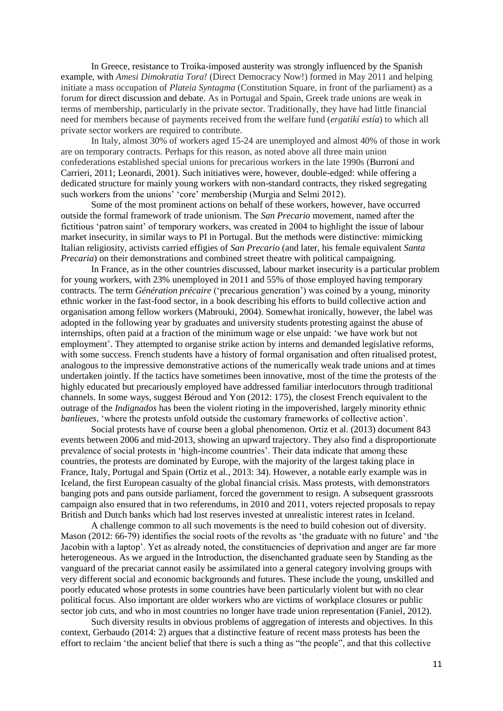In Greece, resistance to Troika-imposed austerity was strongly influenced by the Spanish example, with *Amesi Dimokratia Tora!* (Direct Democracy Now!) formed in May 2011 and helping initiate a mass occupation of *Plateia Syntagma* (Constitution Square, in front of the parliament) as a forum for direct discussion and debate. As in Portugal and Spain, Greek trade unions are weak in terms of membership, particularly in the private sector. Traditionally, they have had little financial need for members because of payments received from the welfare fund (*ergatikí estía*) to which all private sector workers are required to contribute.

In Italy, almost 30% of workers aged 15-24 are unemployed and almost 40% of those in work are on temporary contracts. Perhaps for this reason, as noted above all three main union confederations established special unions for precarious workers in the late 1990s (Burroni and Carrieri, 2011; Leonardi, 2001). Such initiatives were, however, double-edged: while offering a dedicated structure for mainly young workers with non-standard contracts, they risked segregating such workers from the unions' 'core' membership (Murgia and Selmi 2012).

Some of the most prominent actions on behalf of these workers, however, have occurred outside the formal framework of trade unionism. The *San Precario* movement, named after the fictitious 'patron saint' of temporary workers, was created in 2004 to highlight the issue of labour market insecurity, in similar ways to PI in Portugal. But the methods were distinctive: mimicking Italian religiosity, activists carried effigies of *San Precario* (and later, his female equivalent *Santa Precaria*) on their demonstrations and combined street theatre with political campaigning.

In France, as in the other countries discussed, labour market insecurity is a particular problem for young workers, with 23% unemployed in 2011 and 55% of those employed having temporary contracts. The term *Génération précaire* ('precarious generation') was coined by a young, minority ethnic worker in the fast-food sector, in a book describing his efforts to build collective action and organisation among fellow workers (Mabrouki, 2004). Somewhat ironically, however, the label was adopted in the following year by graduates and university students protesting against the abuse of internships, often paid at a fraction of the minimum wage or else unpaid: 'we have work but not employment'. They attempted to organise strike action by interns and demanded legislative reforms, with some success. French students have a history of formal organisation and often ritualised protest. analogous to the impressive demonstrative actions of the numerically weak trade unions and at times undertaken jointly. If the tactics have sometimes been innovative, most of the time the protests of the highly educated but precariously employed have addressed familiar interlocutors through traditional channels. In some ways, suggest Béroud and Yon (2012: 175), the closest French equivalent to the outrage of the *Indignados* has been the violent rioting in the impoverished, largely minority ethnic *banlieues*, 'where the protests unfold outside the customary frameworks of collective action'.

Social protests have of course been a global phenomenon. Ortiz et al. (2013) document 843 events between 2006 and mid-2013, showing an upward trajectory. They also find a disproportionate prevalence of social protests in 'high-income countries'. Their data indicate that among these countries, the protests are dominated by Europe, with the majority of the largest taking place in France, Italy, Portugal and Spain (Ortiz et al., 2013: 34). However, a notable early example was in Iceland, the first European casualty of the global financial crisis. Mass protests, with demonstrators banging pots and pans outside parliament, forced the government to resign. A subsequent grassroots campaign also ensured that in two referendums, in 2010 and 2011, voters rejected proposals to repay British and Dutch banks which had lost reserves invested at unrealistic interest rates in Iceland.

A challenge common to all such movements is the need to build cohesion out of diversity. Mason (2012: 66-79) identifies the social roots of the revolts as 'the graduate with no future' and 'the Jacobin with a laptop'. Yet as already noted, the constituencies of deprivation and anger are far more heterogeneous. As we argued in the Introduction, the disenchanted graduate seen by Standing as the vanguard of the precariat cannot easily be assimilated into a general category involving groups with very different social and economic backgrounds and futures. These include the young, unskilled and poorly educated whose protests in some countries have been particularly violent but with no clear political focus. Also important are older workers who are victims of workplace closures or public sector job cuts, and who in most countries no longer have trade union representation (Faniel, 2012).

Such diversity results in obvious problems of aggregation of interests and objectives. In this context, Gerbaudo (2014: 2) argues that a distinctive feature of recent mass protests has been the effort to reclaim 'the ancient belief that there is such a thing as "the people", and that this collective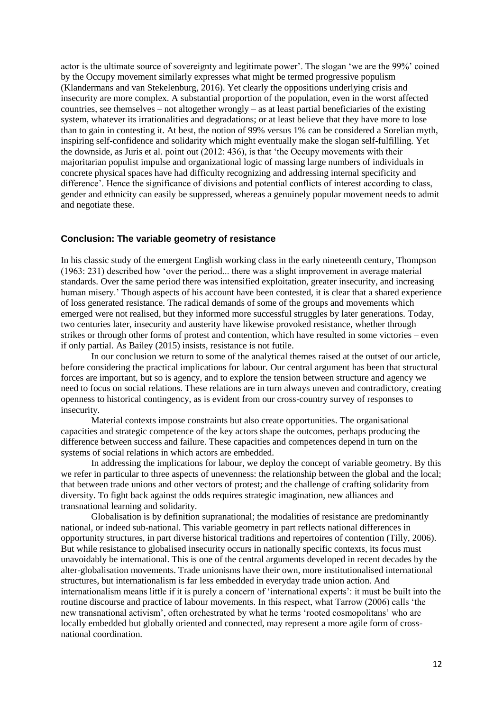actor is the ultimate source of sovereignty and legitimate power'. The slogan 'we are the 99%' coined by the Occupy movement similarly expresses what might be termed progressive populism (Klandermans and van Stekelenburg, 2016). Yet clearly the oppositions underlying crisis and insecurity are more complex. A substantial proportion of the population, even in the worst affected countries, see themselves – not altogether wrongly – as at least partial beneficiaries of the existing system, whatever its irrationalities and degradations; or at least believe that they have more to lose than to gain in contesting it. At best, the notion of 99% versus 1% can be considered a Sorelian myth, inspiring self-confidence and solidarity which might eventually make the slogan self-fulfilling. Yet the downside, as Juris et al. point out (2012: 436), is that 'the Occupy movements with their majoritarian populist impulse and organizational logic of massing large numbers of individuals in concrete physical spaces have had difficulty recognizing and addressing internal specificity and difference'. Hence the significance of divisions and potential conflicts of interest according to class, gender and ethnicity can easily be suppressed, whereas a genuinely popular movement needs to admit and negotiate these.

#### **Conclusion: The variable geometry of resistance**

In his classic study of the emergent English working class in the early nineteenth century, Thompson (1963: 231) described how 'over the period... there was a slight improvement in average material standards. Over the same period there was intensified exploitation, greater insecurity, and increasing human misery.' Though aspects of his account have been contested, it is clear that a shared experience of loss generated resistance. The radical demands of some of the groups and movements which emerged were not realised, but they informed more successful struggles by later generations. Today, two centuries later, insecurity and austerity have likewise provoked resistance, whether through strikes or through other forms of protest and contention, which have resulted in some victories – even if only partial. As Bailey (2015) insists, resistance is not futile.

In our conclusion we return to some of the analytical themes raised at the outset of our article, before considering the practical implications for labour. Our central argument has been that structural forces are important, but so is agency, and to explore the tension between structure and agency we need to focus on social relations. These relations are in turn always uneven and contradictory, creating openness to historical contingency, as is evident from our cross-country survey of responses to insecurity.

Material contexts impose constraints but also create opportunities. The organisational capacities and strategic competence of the key actors shape the outcomes, perhaps producing the difference between success and failure. These capacities and competences depend in turn on the systems of social relations in which actors are embedded.

In addressing the implications for labour, we deploy the concept of variable geometry. By this we refer in particular to three aspects of unevenness: the relationship between the global and the local; that between trade unions and other vectors of protest; and the challenge of crafting solidarity from diversity. To fight back against the odds requires strategic imagination, new alliances and transnational learning and solidarity.

Globalisation is by definition supranational; the modalities of resistance are predominantly national, or indeed sub-national. This variable geometry in part reflects national differences in opportunity structures, in part diverse historical traditions and repertoires of contention (Tilly, 2006). But while resistance to globalised insecurity occurs in nationally specific contexts, its focus must unavoidably be international. This is one of the central arguments developed in recent decades by the alter-globalisation movements. Trade unionisms have their own, more institutionalised international structures, but internationalism is far less embedded in everyday trade union action. And internationalism means little if it is purely a concern of 'international experts': it must be built into the routine discourse and practice of labour movements. In this respect, what Tarrow (2006) calls 'the new transnational activism', often orchestrated by what he terms 'rooted cosmopolitans' who are locally embedded but globally oriented and connected, may represent a more agile form of crossnational coordination.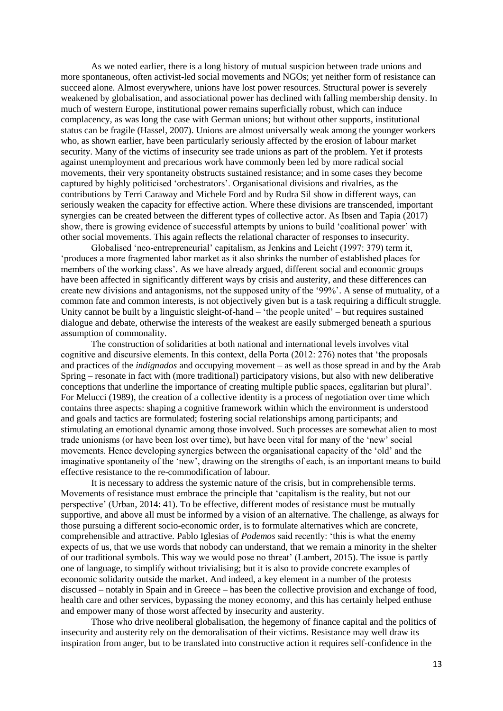As we noted earlier, there is a long history of mutual suspicion between trade unions and more spontaneous, often activist-led social movements and NGOs; yet neither form of resistance can succeed alone. Almost everywhere, unions have lost power resources. Structural power is severely weakened by globalisation, and associational power has declined with falling membership density. In much of western Europe, institutional power remains superficially robust, which can induce complacency, as was long the case with German unions; but without other supports, institutional status can be fragile (Hassel, 2007). Unions are almost universally weak among the younger workers who, as shown earlier, have been particularly seriously affected by the erosion of labour market security. Many of the victims of insecurity see trade unions as part of the problem. Yet if protests against unemployment and precarious work have commonly been led by more radical social movements, their very spontaneity obstructs sustained resistance; and in some cases they become captured by highly politicised 'orchestrators'. Organisational divisions and rivalries, as the contributions by Terri Caraway and Michele Ford and by Rudra Sil show in different ways, can seriously weaken the capacity for effective action. Where these divisions are transcended, important synergies can be created between the different types of collective actor. As Ibsen and Tapia (2017) show, there is growing evidence of successful attempts by unions to build 'coalitional power' with other social movements. This again reflects the relational character of responses to insecurity.

Globalised 'neo-entrepreneurial' capitalism, as Jenkins and Leicht (1997: 379) term it, 'produces a more fragmented labor market as it also shrinks the number of established places for members of the working class'. As we have already argued, different social and economic groups have been affected in significantly different ways by crisis and austerity, and these differences can create new divisions and antagonisms, not the supposed unity of the '99%'. A sense of mutuality, of a common fate and common interests, is not objectively given but is a task requiring a difficult struggle. Unity cannot be built by a linguistic sleight-of-hand – 'the people united' – but requires sustained dialogue and debate, otherwise the interests of the weakest are easily submerged beneath a spurious assumption of commonality.

The construction of solidarities at both national and international levels involves vital cognitive and discursive elements. In this context, della Porta (2012: 276) notes that 'the proposals and practices of the *indignados* and occupying movement – as well as those spread in and by the Arab Spring – resonate in fact with (more traditional) participatory visions, but also with new deliberative conceptions that underline the importance of creating multiple public spaces, egalitarian but plural'. For Melucci (1989), the creation of a collective identity is a process of negotiation over time which contains three aspects: shaping a cognitive framework within which the environment is understood and goals and tactics are formulated; fostering social relationships among participants; and stimulating an emotional dynamic among those involved. Such processes are somewhat alien to most trade unionisms (or have been lost over time), but have been vital for many of the 'new' social movements. Hence developing synergies between the organisational capacity of the 'old' and the imaginative spontaneity of the 'new', drawing on the strengths of each, is an important means to build effective resistance to the re-commodification of labour.

It is necessary to address the systemic nature of the crisis, but in comprehensible terms. Movements of resistance must embrace the principle that 'capitalism is the reality, but not our perspective' (Urban, 2014: 41). To be effective, different modes of resistance must be mutually supportive, and above all must be informed by a vision of an alternative. The challenge, as always for those pursuing a different socio-economic order, is to formulate alternatives which are concrete, comprehensible and attractive. Pablo Iglesias of *Podemos* said recently: 'this is what the enemy expects of us, that we use words that nobody can understand, that we remain a minority in the shelter of our traditional symbols. This way we would pose no threat' (Lambert, 2015). The issue is partly one of language, to simplify without trivialising; but it is also to provide concrete examples of economic solidarity outside the market. And indeed, a key element in a number of the protests discussed – notably in Spain and in Greece – has been the collective provision and exchange of food, health care and other services, bypassing the money economy, and this has certainly helped enthuse and empower many of those worst affected by insecurity and austerity.

Those who drive neoliberal globalisation, the hegemony of finance capital and the politics of insecurity and austerity rely on the demoralisation of their victims. Resistance may well draw its inspiration from anger, but to be translated into constructive action it requires self-confidence in the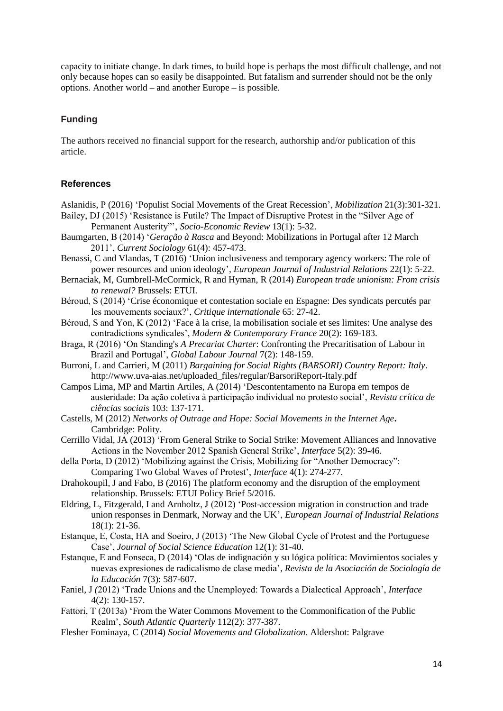capacity to initiate change. In dark times, to build hope is perhaps the most difficult challenge, and not only because hopes can so easily be disappointed. But fatalism and surrender should not be the only options. Another world – and another Europe – is possible.

#### **Funding**

The authors received no financial support for the research, authorship and/or publication of this article.

#### **References**

- Aslanidis, P (2016) 'Populist Social Movements of the Great Recession', *Mobilization* 21(3):301-321. Bailey, DJ (2015) 'Resistance is Futile? The Impact of Disruptive Protest in the "Silver Age of Permanent Austerity"', *Socio-Economic Review* 13(1): 5-32.
- Baumgarten, B (2014) '*Geração à Rasca* and Beyond: Mobilizations in Portugal after 12 March 2011', *Current Sociology* 61(4): 457-473.
- Benassi, C and Vlandas, T (2016) 'Union inclusiveness and temporary agency workers: The role of power resources and union ideology', *European Journal of Industrial Relations* 22(1): 5-22.
- Bernaciak, M, Gumbrell-McCormick, R and Hyman, R (2014) *European trade unionism: From crisis to renewal?* Brussels: ETUI.
- Béroud, S (2014) 'Crise économique et contestation sociale en Espagne: Des syndicats percutés par les mouvements sociaux?', *Critique internationale* 65: 27-42.
- Béroud, S and Yon, K (2012) 'Face à la crise, la mobilisation sociale et ses limites: Une analyse des contradictions syndicales', *Modern & Contemporary France* 20(2): 169-183.
- Braga, R (2016) 'On Standing's *A Precariat Charter*: Confronting the Precaritisation of Labour in Brazil and Portugal', *Global Labour Journal* 7(2): 148-159.
- Burroni, L and Carrieri, M (2011) *Bargaining for Social Rights (BARSORI) Country Report: Italy*. http://www.uva-aias.net/uploaded\_files/regular/BarsoriReport-Italy.pdf
- Campos Lima, MP and Martin Artiles, A (2014) 'Descontentamento na Europa em tempos de austeridade: Da ação coletiva à participação individual no protesto social', *Revista crítica de ciências sociais* 103: 137-171.
- Castells, M (2012) *Networks of Outrage and Hope: Social Movements in the Internet Age***.**  Cambridge: Polity.
- Cerrillo Vidal, JA (2013) 'From General Strike to Social Strike: Movement Alliances and Innovative Actions in the November 2012 Spanish General Strike', *Interface* 5(2): 39-46.

della Porta, D (2012) 'Mobilizing against the Crisis, Mobilizing for "Another Democracy": Comparing Two Global Waves of Protest', *Interface* 4(1): 274-277*.*

- Drahokoupil, J and Fabo, B (2016) The platform economy and the disruption of the employment relationship. Brussels: ETUI Policy Brief 5/2016.
- Eldring, L, Fitzgerald, I and Arnholtz, J (2012) 'Post-accession migration in construction and trade union responses in Denmark, Norway and the UK', *European Journal of Industrial Relations* 18(1): 21-36.
- Estanque, E, Costa, HA and Soeiro, J (2013) 'The New Global Cycle of Protest and the Portuguese Case', *Journal of Social Science Education* 12(1): 31-40.
- Estanque, E and Fonseca, D (2014) 'Olas de indignación y su lógica política: Movimientos sociales y nuevas expresiones de radicalismo de clase media', *Revista de la Asociación de Sociología de la Educación* 7(3): 587-607.
- Faniel, J *(*2012) 'Trade Unions and the Unemployed: Towards a Dialectical Approach', *Interface* 4(2): 130-157.
- Fattori, T (2013a) 'From the Water Commons Movement to the Commonification of the Public Realm', *South Atlantic Quarterly* 112(2): 377-387.
- Flesher Fominaya, C (2014) *Social Movements and Globalization*. Aldershot: Palgrave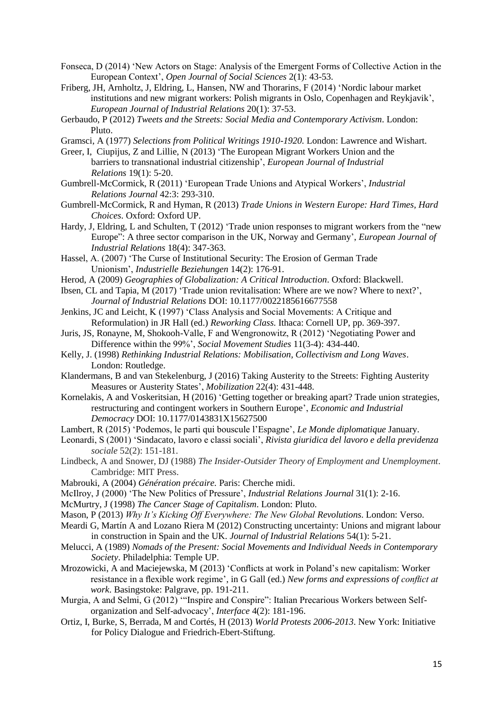- Fonseca, D (2014) 'New Actors on Stage: Analysis of the Emergent Forms of Collective Action in the European Context', *Open Journal of Social Sciences* 2(1): 43-53.
- Friberg, JH, Arnholtz, J, Eldring, L, Hansen, NW and Thorarins, F (2014) 'Nordic labour market institutions and new migrant workers: Polish migrants in Oslo, Copenhagen and Reykjavik', *European Journal of Industrial Relations* 20(1): 37-53.
- Gerbaudo, P (2012) *Tweets and the Streets: Social Media and Contemporary Activism*. London: Pluto.
- Gramsci, A (1977) *Selections from Political Writings 1910-1920.* London: Lawrence and Wishart.
- Greer, I, Ciupijus, Z and Lillie, N (2013) 'The European Migrant Workers Union and the barriers to transnational industrial citizenship', *European Journal of Industrial Relations* 19(1): 5-20.
- Gumbrell-McCormick, R (2011) 'European Trade Unions and Atypical Workers', *Industrial Relations Journal* 42:3: 293-310.
- Gumbrell-McCormick, R and Hyman, R (2013) *Trade Unions in Western Europe: Hard Times, Hard Choices*. Oxford: Oxford UP.
- Hardy, J, Eldring, L and Schulten, T (2012) 'Trade union responses to migrant workers from the "new Europe": A three sector comparison in the UK, Norway and Germany', *European Journal of Industrial Relations* 18(4): 347-363.
- Hassel, A. (2007) 'The Curse of Institutional Security: The Erosion of German Trade Unionism', *Industrielle Beziehungen* 14(2): 176-91.
- Herod, A (2009) *Geographies of Globalization: A Critical Introduction*. Oxford: Blackwell.
- Ibsen, CL and Tapia, M (2017) 'Trade union revitalisation: Where are we now? Where to next?', *Journal of Industrial Relations* DOI: 10.1177/0022185616677558
- Jenkins, JC and Leicht, K (1997) 'Class Analysis and Social Movements: A Critique and Reformulation) in JR Hall (ed.) *Reworking Class.* Ithaca: Cornell UP, pp. 369-397.
- Juris, JS, Ronayne, M, Shokooh-Valle, F and Wengronowitz, R (2012) 'Negotiating Power and Difference within the 99%', *Social Movement Studies* 11(3-4): 434-440.
- Kelly, J. (1998) *Rethinking Industrial Relations: Mobilisation, Collectivism and Long Waves*. London: Routledge.
- Klandermans, B and van Stekelenburg, J (2016) Taking Austerity to the Streets: Fighting Austerity Measures or Austerity States', *Mobilization* 22(4): 431-448.
- Kornelakis, A and Voskeritsian, H (2016) 'Getting together or breaking apart? Trade union strategies, restructuring and contingent workers in Southern Europe', *Economic and Industrial Democracy* DOI: 10.1177/0143831X15627500
- Lambert, R (2015) 'Podemos, le parti qui bouscule l'Espagne', *Le Monde diplomatique* January.
- Leonardi, S (2001) 'Sindacato, lavoro e classi sociali', *Rivista giuridica del lavoro e della previdenza sociale* 52(2): 151-181.
- Lindbeck, A and Snower, DJ (1988) *The Insider-Outsider Theory of Employment and Unemployment*. Cambridge: MIT Press.
- Mabrouki, A (2004) *Génération précaire.* Paris: Cherche midi.
- McIlroy, J (2000) 'The New Politics of Pressure', *Industrial Relations Journal* 31(1): 2-16.
- [McMurtry,](http://www.google.co.uk/search?tbo=p&tbm=bks&q=inauthor:%22John+McMurtry%22) J (1998) *The Cancer Stage of Capitalism*. London: Pluto.
- Mason, P (2013) *Why It's Kicking Off Everywhere: The New Global Revolutions*. London: Verso.
- Meardi G, Martín A and Lozano Riera M (2012) Constructing uncertainty: Unions and migrant labour in construction in Spain and the UK. *Journal of Industrial Relations* 54(1): 5-21.
- Melucci, A (1989) *Nomads of the Present: Social Movements and Individual Needs in Contemporary Society*. Philadelphia: Temple UP.
- Mrozowicki, A and Maciejewska, M (2013) 'Conflicts at work in Poland's new capitalism: Worker resistance in a flexible work regime', in G Gall (ed.) *New forms and expressions of conflict at work*. Basingstoke: Palgrave, pp. 191-211.
- Murgia, A and Selmi, G (2012) '"Inspire and Conspire": Italian Precarious Workers between Selforganization and Self-advocacy', *Interface* 4(2): 181-196.
- Ortiz, I, Burke, S, Berrada, M and Cortés, H (2013) *World Protests 2006-2013*. New York: Initiative for Policy Dialogue and Friedrich-Ebert-Stiftung.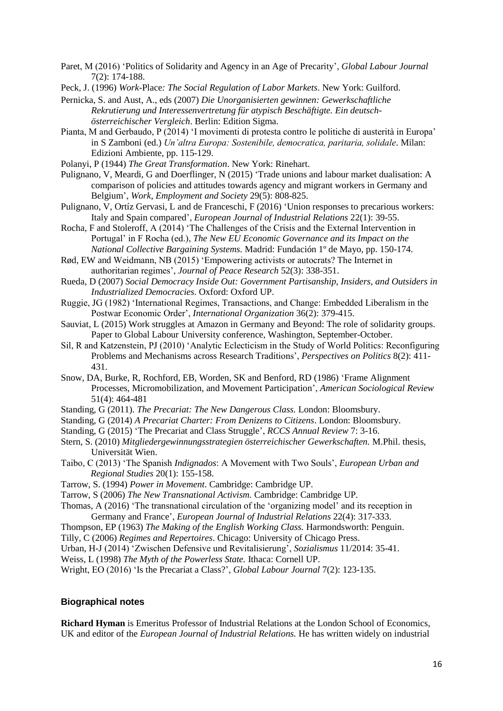- Paret, M (2016) 'Politics of Solidarity and Agency in an Age of Precarity', *Global Labour Journal*  7(2): 174-188.
- Peck, J. (1996) *Work-*Place*: The Social Regulation of Labor Markets*. New York: Guilford.
- Pernicka, S. and Aust, A., eds (2007) *Die Unorganisierten gewinnen: Gewerkschaftliche Rekrutierung und Interessenvertretung für atypisch Beschäftigte. Ein deutschösterreichischer Vergleich*. Berlin: Edition Sigma.
- Pianta, M and Gerbaudo, P (2014) 'I movimenti di protesta contro le politiche di austerità in Europa' in S Zamboni (ed.) *Un'altra Europa: Sostenibile, democratica, paritaria, solidale*. Milan: Edizioni Ambiente, pp. 115-129.
- Polanyi, P (1944) *The Great Transformation*. New York: Rinehart.
- Pulignano, V, Meardi, G and Doerflinger, N (2015) 'Trade unions and labour market dualisation: A comparison of policies and attitudes towards agency and migrant workers in Germany and Belgium', *Work, Employment and Society* 29(5): 808-825.
- Pulignano, V, Ortíz Gervasi, L and de Franceschi, F (2016) 'Union responses to precarious workers: Italy and Spain compared', *European Journal of Industrial Relations* 22(1): 39-55.
- Rocha, F and Stoleroff, A (2014) 'The Challenges of the Crisis and the External Intervention in Portugal' in F Rocha (ed.), *The New EU Economic Governance and its Impact on the National Collective Bargaining Systems.* Madrid: Fundación 1º de Mayo, pp. 150-174.
- Rød, EW and Weidmann, NB (2015) 'Empowering activists or autocrats? The Internet in authoritarian regimes', *Journal of Peace Research* 52(3): 338-351.
- Rueda, D (2007) *Social Democracy Inside Out: Government Partisanship, Insiders, and Outsiders in Industrialized Democracies*. Oxford: Oxford UP.
- Ruggie, JG (1982) 'International Regimes, Transactions, and Change: Embedded Liberalism in the Postwar Economic Order', *International Organization* 36(2): 379-415.
- Sauviat, L (2015) Work struggles at Amazon in Germany and Beyond: The role of solidarity groups. Paper to Global Labour University conference, Washington, September-October.
- Sil, R and Katzenstein, PJ (2010) 'Analytic Eclecticism in the Study of World Politics: Reconfiguring Problems and Mechanisms across Research Traditions', *Perspectives on Politics* 8(2): 411- 431.
- Snow, DA, Burke, R, Rochford, EB, Worden, SK and Benford, RD (1986) 'Frame Alignment Processes, Micromobilization, and Movement Participation', *American Sociological Review* 51(4): 464-481
- Standing, G (2011). *The Precariat: The New Dangerous Class.* London: Bloomsbury.
- Standing, G (2014) *A Precariat Charter: From Denizens to Citizens*. London: Bloomsbury.
- Standing, G (2015) 'The Precariat and Class Struggle', *RCCS Annual Review* 7: 3-16.
- Stern, S. (2010) *Mitgliedergewinnungsstrategien österreichischer Gewerkschaften.* M.Phil. thesis, Universität Wien.
- Taibo, C (2013) 'The Spanish *Indignados*: A Movement with Two Souls', *European Urban and Regional Studies* 20(1): 155-158.
- Tarrow, S. (1994) *Power in Movement*. Cambridge: Cambridge UP.
- Tarrow, S (2006) *The New Transnational Activism.* Cambridge: Cambridge UP*.*
- Thomas, A (2016) 'The transnational circulation of the 'organizing model' and its reception in Germany and France', *European Journal of Industrial Relations* 22(4): 317-333.
- Thompson, EP (1963) *The Making of the English Working Class.* Harmondsworth: Penguin.
- Tilly, C (2006) *Regimes and Repertoires*. Chicago: University of Chicago Press.
- Urban, H-J (2014) 'Zwischen Defensive und Revitalisierung', *Sozialismus* 11/2014: 35-41.
- Weiss, L (1998) *The Myth of the Powerless State.* Ithaca: Cornell UP.
- Wright, EO (2016) 'Is the Precariat a Class?', *Global Labour Journal* 7(2): 123-135.

#### **Biographical notes**

**Richard Hyman** is Emeritus Professor of Industrial Relations at the London School of Economics, UK and editor of the *European Journal of Industrial Relations.* He has written widely on industrial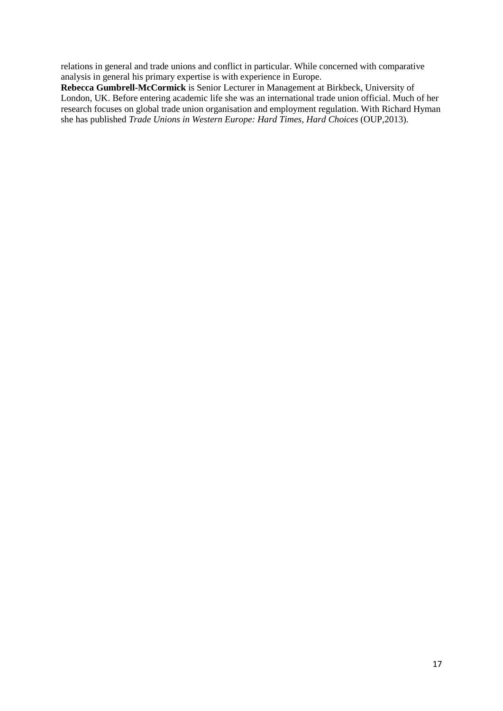relations in general and trade unions and conflict in particular. While concerned with comparative analysis in general his primary expertise is with experience in Europe.

**Rebecca Gumbrell-McCormick** is Senior Lecturer in Management at Birkbeck, University of London, UK. Before entering academic life she was an international trade union official. Much of her research focuses on global trade union organisation and employment regulation. With Richard Hyman she has published *Trade Unions in Western Europe: Hard Times, Hard Choices* (OUP,2013).